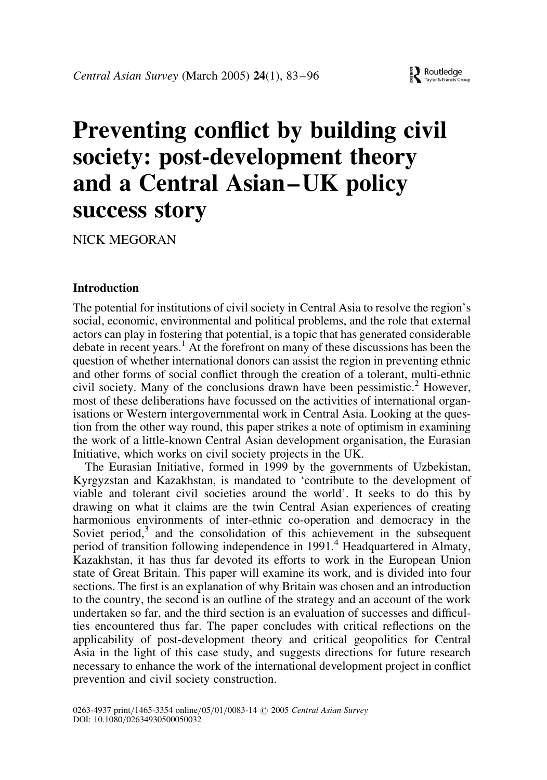# Preventing conflict by building civil society: post-development theory and a Central Asian –UK policy success story

NICK MEGORAN

## Introduction

The potential for institutions of civil society in Central Asia to resolve the region's social, economic, environmental and political problems, and the role that external actors can play in fostering that potential, is a topic that has generated considerable debate in recent years.<sup>1</sup> At the forefront on many of these discussions has been the question of whether international donors can assist the region in preventing ethnic and other forms of social conflict through the creation of a tolerant, multi-ethnic civil society. Many of the conclusions drawn have been pessimistic.<sup>2</sup> However, most of these deliberations have focussed on the activities of international organisations or Western intergovernmental work in Central Asia. Looking at the question from the other way round, this paper strikes a note of optimism in examining the work of a little-known Central Asian development organisation, the Eurasian Initiative, which works on civil society projects in the UK.

The Eurasian Initiative, formed in 1999 by the governments of Uzbekistan, Kyrgyzstan and Kazakhstan, is mandated to 'contribute to the development of viable and tolerant civil societies around the world'. It seeks to do this by drawing on what it claims are the twin Central Asian experiences of creating harmonious environments of inter-ethnic co-operation and democracy in the Soviet period, $3$  and the consolidation of this achievement in the subsequent period of transition following independence in 1991.<sup>4</sup> Headquartered in Almaty, Kazakhstan, it has thus far devoted its efforts to work in the European Union state of Great Britain. This paper will examine its work, and is divided into four sections. The first is an explanation of why Britain was chosen and an introduction to the country, the second is an outline of the strategy and an account of the work undertaken so far, and the third section is an evaluation of successes and difficulties encountered thus far. The paper concludes with critical reflections on the applicability of post-development theory and critical geopolitics for Central Asia in the light of this case study, and suggests directions for future research necessary to enhance the work of the international development project in conflict prevention and civil society construction.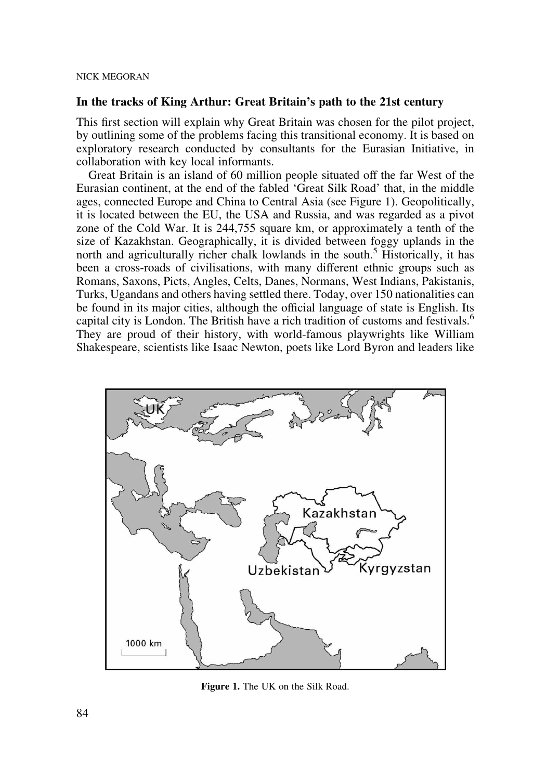## In the tracks of King Arthur: Great Britain's path to the 21st century

This first section will explain why Great Britain was chosen for the pilot project, by outlining some of the problems facing this transitional economy. It is based on exploratory research conducted by consultants for the Eurasian Initiative, in collaboration with key local informants.

Great Britain is an island of 60 million people situated off the far West of the Eurasian continent, at the end of the fabled 'Great Silk Road' that, in the middle ages, connected Europe and China to Central Asia (see Figure 1). Geopolitically, it is located between the EU, the USA and Russia, and was regarded as a pivot zone of the Cold War. It is 244,755 square km, or approximately a tenth of the size of Kazakhstan. Geographically, it is divided between foggy uplands in the north and agriculturally richer chalk lowlands in the south.<sup>5</sup> Historically, it has been a cross-roads of civilisations, with many different ethnic groups such as Romans, Saxons, Picts, Angles, Celts, Danes, Normans, West Indians, Pakistanis, Turks, Ugandans and others having settled there. Today, over 150 nationalities can be found in its major cities, although the official language of state is English. Its capital city is London. The British have a rich tradition of customs and festivals.<sup>6</sup> They are proud of their history, with world-famous playwrights like William Shakespeare, scientists like Isaac Newton, poets like Lord Byron and leaders like



Figure 1. The UK on the Silk Road.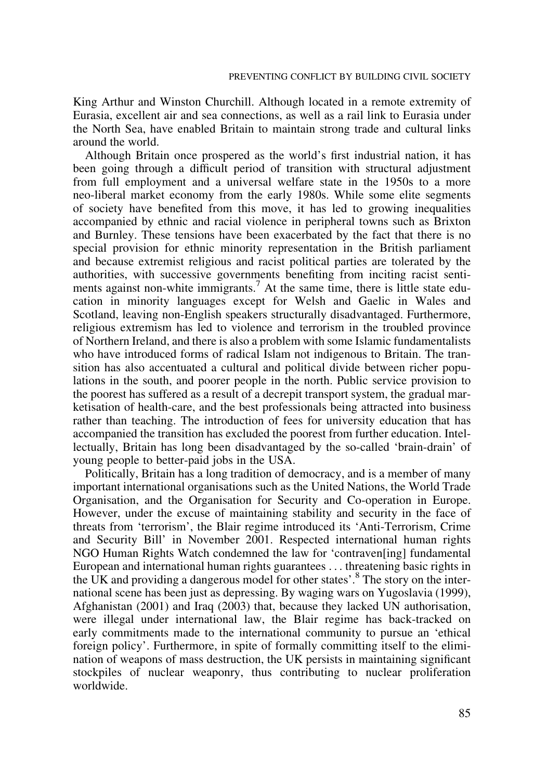King Arthur and Winston Churchill. Although located in a remote extremity of Eurasia, excellent air and sea connections, as well as a rail link to Eurasia under the North Sea, have enabled Britain to maintain strong trade and cultural links around the world.

Although Britain once prospered as the world's first industrial nation, it has been going through a difficult period of transition with structural adjustment from full employment and a universal welfare state in the 1950s to a more neo-liberal market economy from the early 1980s. While some elite segments of society have benefited from this move, it has led to growing inequalities accompanied by ethnic and racial violence in peripheral towns such as Brixton and Burnley. These tensions have been exacerbated by the fact that there is no special provision for ethnic minority representation in the British parliament and because extremist religious and racist political parties are tolerated by the authorities, with successive governments benefiting from inciting racist sentiments against non-white immigrants.<sup>7</sup> At the same time, there is little state education in minority languages except for Welsh and Gaelic in Wales and Scotland, leaving non-English speakers structurally disadvantaged. Furthermore, religious extremism has led to violence and terrorism in the troubled province of Northern Ireland, and there is also a problem with some Islamic fundamentalists who have introduced forms of radical Islam not indigenous to Britain. The transition has also accentuated a cultural and political divide between richer populations in the south, and poorer people in the north. Public service provision to the poorest has suffered as a result of a decrepit transport system, the gradual marketisation of health-care, and the best professionals being attracted into business rather than teaching. The introduction of fees for university education that has accompanied the transition has excluded the poorest from further education. Intellectually, Britain has long been disadvantaged by the so-called 'brain-drain' of young people to better-paid jobs in the USA.

Politically, Britain has a long tradition of democracy, and is a member of many important international organisations such as the United Nations, the World Trade Organisation, and the Organisation for Security and Co-operation in Europe. However, under the excuse of maintaining stability and security in the face of threats from 'terrorism', the Blair regime introduced its 'Anti-Terrorism, Crime and Security Bill' in November 2001. Respected international human rights NGO Human Rights Watch condemned the law for 'contraven[ing] fundamental European and international human rights guarantees ... threatening basic rights in the UK and providing a dangerous model for other states'.<sup>8</sup> The story on the international scene has been just as depressing. By waging wars on Yugoslavia (1999), Afghanistan (2001) and Iraq (2003) that, because they lacked UN authorisation, were illegal under international law, the Blair regime has back-tracked on early commitments made to the international community to pursue an 'ethical foreign policy'. Furthermore, in spite of formally committing itself to the elimination of weapons of mass destruction, the UK persists in maintaining significant stockpiles of nuclear weaponry, thus contributing to nuclear proliferation worldwide.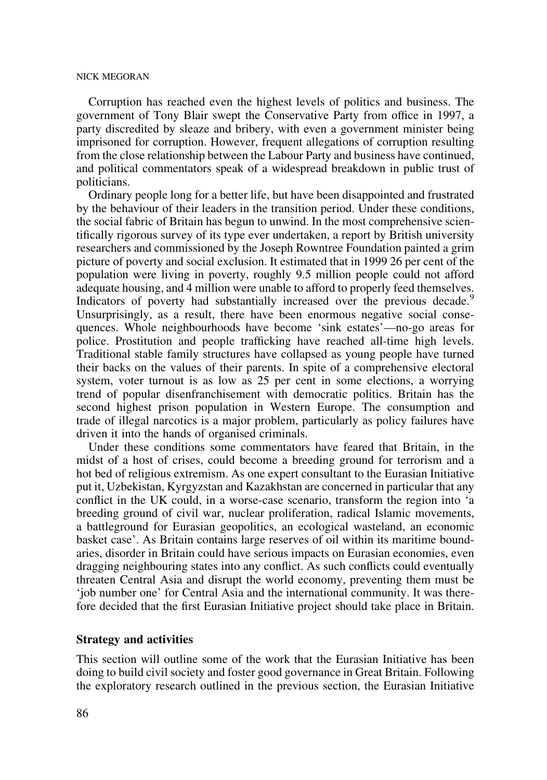Corruption has reached even the highest levels of politics and business. The government of Tony Blair swept the Conservative Party from office in 1997, a party discredited by sleaze and bribery, with even a government minister being imprisoned for corruption. However, frequent allegations of corruption resulting from the close relationship between the Labour Party and business have continued, and political commentators speak of a widespread breakdown in public trust of politicians.

Ordinary people long for a better life, but have been disappointed and frustrated by the behaviour of their leaders in the transition period. Under these conditions, the social fabric of Britain has begun to unwind. In the most comprehensive scientifically rigorous survey of its type ever undertaken, a report by British university researchers and commissioned by the Joseph Rowntree Foundation painted a grim picture of poverty and social exclusion. It estimated that in 1999 26 per cent of the population were living in poverty, roughly 9.5 million people could not afford adequate housing, and 4 million were unable to afford to properly feed themselves. Indicators of poverty had substantially increased over the previous decade.<sup>5</sup> Unsurprisingly, as a result, there have been enormous negative social consequences. Whole neighbourhoods have become 'sink estates'—no-go areas for police. Prostitution and people trafficking have reached all-time high levels. Traditional stable family structures have collapsed as young people have turned their backs on the values of their parents. In spite of a comprehensive electoral system, voter turnout is as low as 25 per cent in some elections, a worrying trend of popular disenfranchisement with democratic politics. Britain has the second highest prison population in Western Europe. The consumption and trade of illegal narcotics is a major problem, particularly as policy failures have driven it into the hands of organised criminals.

Under these conditions some commentators have feared that Britain, in the midst of a host of crises, could become a breeding ground for terrorism and a hot bed of religious extremism. As one expert consultant to the Eurasian Initiative put it, Uzbekistan, Kyrgyzstan and Kazakhstan are concerned in particular that any conflict in the UK could, in a worse-case scenario, transform the region into 'a breeding ground of civil war, nuclear proliferation, radical Islamic movements, a battleground for Eurasian geopolitics, an ecological wasteland, an economic basket case'. As Britain contains large reserves of oil within its maritime boundaries, disorder in Britain could have serious impacts on Eurasian economies, even dragging neighbouring states into any conflict. As such conflicts could eventually threaten Central Asia and disrupt the world economy, preventing them must be 'job number one' for Central Asia and the international community. It was therefore decided that the first Eurasian Initiative project should take place in Britain.

#### Strategy and activities

This section will outline some of the work that the Eurasian Initiative has been doing to build civil society and foster good governance in Great Britain. Following the exploratory research outlined in the previous section, the Eurasian Initiative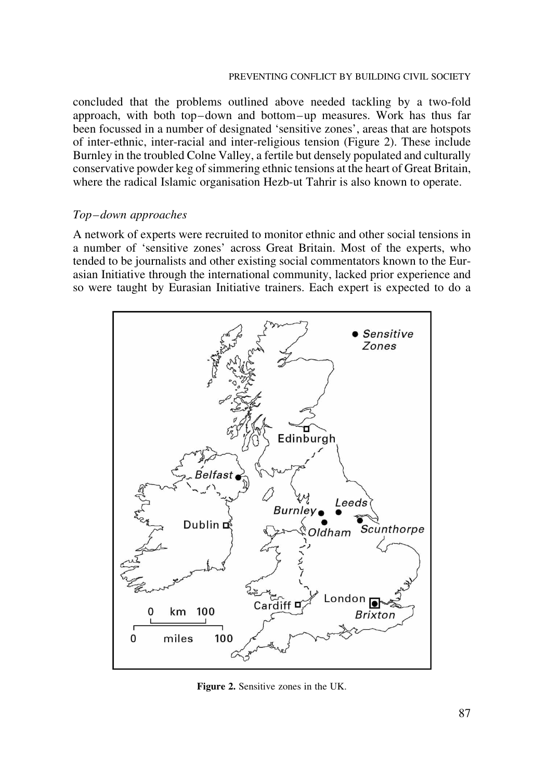concluded that the problems outlined above needed tackling by a two-fold approach, with both top–down and bottom–up measures. Work has thus far been focussed in a number of designated 'sensitive zones', areas that are hotspots of inter-ethnic, inter-racial and inter-religious tension (Figure 2). These include Burnley in the troubled Colne Valley, a fertile but densely populated and culturally conservative powder keg of simmering ethnic tensions at the heart of Great Britain, where the radical Islamic organisation Hezb-ut Tahrir is also known to operate.

## Top–down approaches

A network of experts were recruited to monitor ethnic and other social tensions in a number of 'sensitive zones' across Great Britain. Most of the experts, who tended to be journalists and other existing social commentators known to the Eurasian Initiative through the international community, lacked prior experience and so were taught by Eurasian Initiative trainers. Each expert is expected to do a



Figure 2. Sensitive zones in the UK.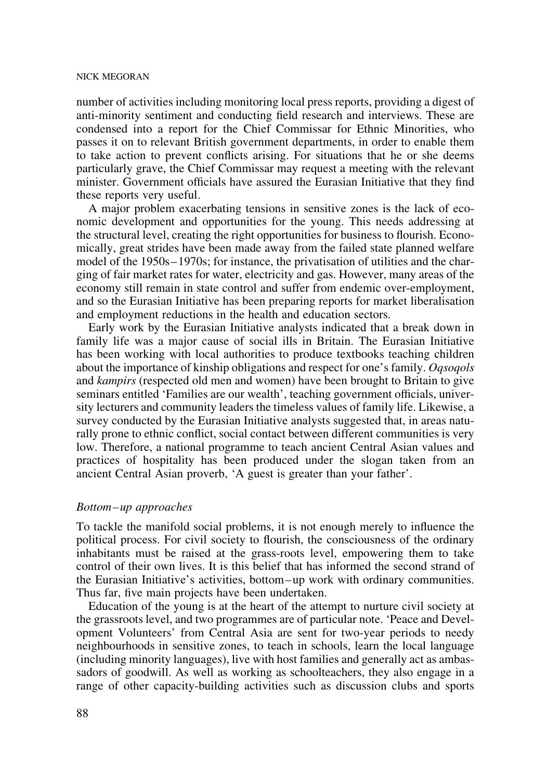number of activities including monitoring local press reports, providing a digest of anti-minority sentiment and conducting field research and interviews. These are condensed into a report for the Chief Commissar for Ethnic Minorities, who passes it on to relevant British government departments, in order to enable them to take action to prevent conflicts arising. For situations that he or she deems particularly grave, the Chief Commissar may request a meeting with the relevant minister. Government officials have assured the Eurasian Initiative that they find these reports very useful.

A major problem exacerbating tensions in sensitive zones is the lack of economic development and opportunities for the young. This needs addressing at the structural level, creating the right opportunities for business to flourish. Economically, great strides have been made away from the failed state planned welfare model of the 1950s–1970s; for instance, the privatisation of utilities and the charging of fair market rates for water, electricity and gas. However, many areas of the economy still remain in state control and suffer from endemic over-employment, and so the Eurasian Initiative has been preparing reports for market liberalisation and employment reductions in the health and education sectors.

Early work by the Eurasian Initiative analysts indicated that a break down in family life was a major cause of social ills in Britain. The Eurasian Initiative has been working with local authorities to produce textbooks teaching children about the importance of kinship obligations and respect for one's family. *Ogsogols* and kampirs (respected old men and women) have been brought to Britain to give seminars entitled 'Families are our wealth', teaching government officials, university lecturers and community leaders the timeless values of family life. Likewise, a survey conducted by the Eurasian Initiative analysts suggested that, in areas naturally prone to ethnic conflict, social contact between different communities is very low. Therefore, a national programme to teach ancient Central Asian values and practices of hospitality has been produced under the slogan taken from an ancient Central Asian proverb, 'A guest is greater than your father'.

## Bottom–up approaches

To tackle the manifold social problems, it is not enough merely to influence the political process. For civil society to flourish, the consciousness of the ordinary inhabitants must be raised at the grass-roots level, empowering them to take control of their own lives. It is this belief that has informed the second strand of the Eurasian Initiative's activities, bottom–up work with ordinary communities. Thus far, five main projects have been undertaken.

Education of the young is at the heart of the attempt to nurture civil society at the grassroots level, and two programmes are of particular note. 'Peace and Development Volunteers' from Central Asia are sent for two-year periods to needy neighbourhoods in sensitive zones, to teach in schools, learn the local language (including minority languages), live with host families and generally act as ambassadors of goodwill. As well as working as schoolteachers, they also engage in a range of other capacity-building activities such as discussion clubs and sports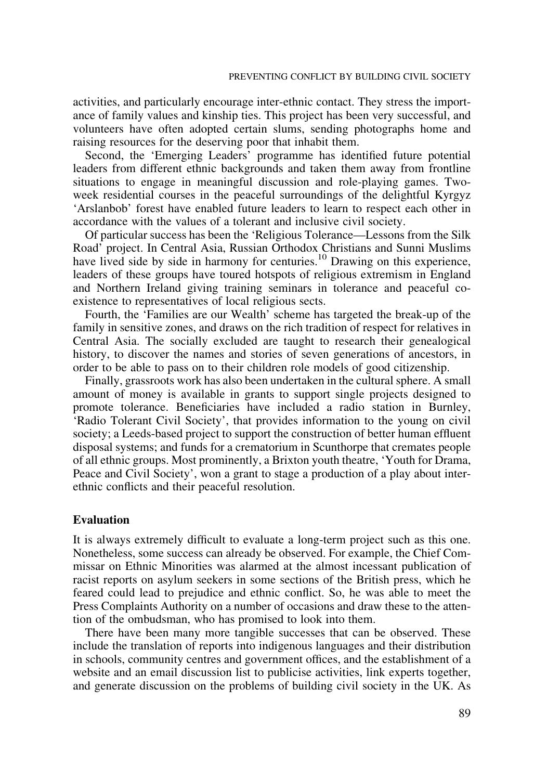activities, and particularly encourage inter-ethnic contact. They stress the importance of family values and kinship ties. This project has been very successful, and volunteers have often adopted certain slums, sending photographs home and raising resources for the deserving poor that inhabit them.

Second, the 'Emerging Leaders' programme has identified future potential leaders from different ethnic backgrounds and taken them away from frontline situations to engage in meaningful discussion and role-playing games. Twoweek residential courses in the peaceful surroundings of the delightful Kyrgyz 'Arslanbob' forest have enabled future leaders to learn to respect each other in accordance with the values of a tolerant and inclusive civil society.

Of particular success has been the 'Religious Tolerance—Lessons from the Silk Road' project. In Central Asia, Russian Orthodox Christians and Sunni Muslims have lived side by side in harmony for centuries.<sup>10</sup> Drawing on this experience, leaders of these groups have toured hotspots of religious extremism in England and Northern Ireland giving training seminars in tolerance and peaceful coexistence to representatives of local religious sects.

Fourth, the 'Families are our Wealth' scheme has targeted the break-up of the family in sensitive zones, and draws on the rich tradition of respect for relatives in Central Asia. The socially excluded are taught to research their genealogical history, to discover the names and stories of seven generations of ancestors, in order to be able to pass on to their children role models of good citizenship.

Finally, grassroots work has also been undertaken in the cultural sphere. A small amount of money is available in grants to support single projects designed to promote tolerance. Beneficiaries have included a radio station in Burnley, 'Radio Tolerant Civil Society', that provides information to the young on civil society; a Leeds-based project to support the construction of better human effluent disposal systems; and funds for a crematorium in Scunthorpe that cremates people of all ethnic groups. Most prominently, a Brixton youth theatre, 'Youth for Drama, Peace and Civil Society', won a grant to stage a production of a play about interethnic conflicts and their peaceful resolution.

## Evaluation

It is always extremely difficult to evaluate a long-term project such as this one. Nonetheless, some success can already be observed. For example, the Chief Commissar on Ethnic Minorities was alarmed at the almost incessant publication of racist reports on asylum seekers in some sections of the British press, which he feared could lead to prejudice and ethnic conflict. So, he was able to meet the Press Complaints Authority on a number of occasions and draw these to the attention of the ombudsman, who has promised to look into them.

There have been many more tangible successes that can be observed. These include the translation of reports into indigenous languages and their distribution in schools, community centres and government offices, and the establishment of a website and an email discussion list to publicise activities, link experts together, and generate discussion on the problems of building civil society in the UK. As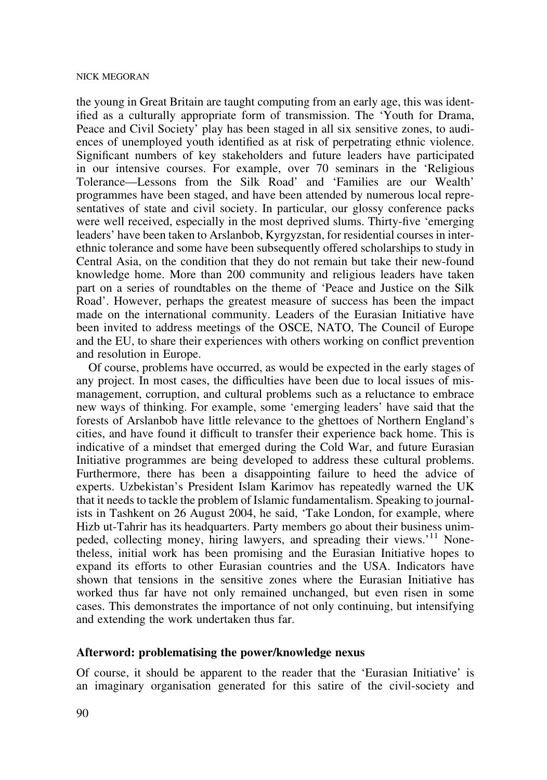the young in Great Britain are taught computing from an early age, this was identified as a culturally appropriate form of transmission. The 'Youth for Drama, Peace and Civil Society' play has been staged in all six sensitive zones, to audiences of unemployed youth identified as at risk of perpetrating ethnic violence. Significant numbers of key stakeholders and future leaders have participated in our intensive courses. For example, over 70 seminars in the 'Religious Tolerance—Lessons from the Silk Road' and 'Families are our Wealth' programmes have been staged, and have been attended by numerous local representatives of state and civil society. In particular, our glossy conference packs were well received, especially in the most deprived slums. Thirty-five 'emerging leaders' have been taken to Arslanbob, Kyrgyzstan, for residential courses in interethnic tolerance and some have been subsequently offered scholarships to study in Central Asia, on the condition that they do not remain but take their new-found knowledge home. More than 200 community and religious leaders have taken part on a series of roundtables on the theme of 'Peace and Justice on the Silk Road'. However, perhaps the greatest measure of success has been the impact made on the international community. Leaders of the Eurasian Initiative have been invited to address meetings of the OSCE, NATO, The Council of Europe and the EU, to share their experiences with others working on conflict prevention and resolution in Europe.

Of course, problems have occurred, as would be expected in the early stages of any project. In most cases, the difficulties have been due to local issues of mismanagement, corruption, and cultural problems such as a reluctance to embrace new ways of thinking. For example, some 'emerging leaders' have said that the forests of Arslanbob have little relevance to the ghettoes of Northern England's cities, and have found it difficult to transfer their experience back home. This is indicative of a mindset that emerged during the Cold War, and future Eurasian Initiative programmes are being developed to address these cultural problems. Furthermore, there has been a disappointing failure to heed the advice of experts. Uzbekistan's President Islam Karimov has repeatedly warned the UK that it needs to tackle the problem of Islamic fundamentalism. Speaking to journalists in Tashkent on 26 August 2004, he said, 'Take London, for example, where Hizb ut-Tahrir has its headquarters. Party members go about their business unimpeded, collecting money, hiring lawyers, and spreading their views.<sup>'11</sup> Nonetheless, initial work has been promising and the Eurasian Initiative hopes to expand its efforts to other Eurasian countries and the USA. Indicators have shown that tensions in the sensitive zones where the Eurasian Initiative has worked thus far have not only remained unchanged, but even risen in some cases. This demonstrates the importance of not only continuing, but intensifying and extending the work undertaken thus far.

## Afterword: problematising the power/knowledge nexus

Of course, it should be apparent to the reader that the 'Eurasian Initiative' is an imaginary organisation generated for this satire of the civil-society and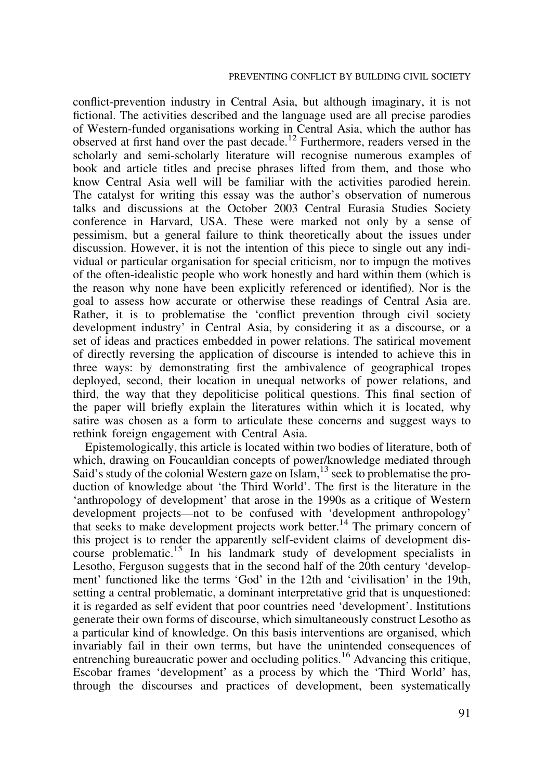conflict-prevention industry in Central Asia, but although imaginary, it is not fictional. The activities described and the language used are all precise parodies of Western-funded organisations working in Central Asia, which the author has observed at first hand over the past decade.<sup>12</sup> Furthermore, readers versed in the scholarly and semi-scholarly literature will recognise numerous examples of book and article titles and precise phrases lifted from them, and those who know Central Asia well will be familiar with the activities parodied herein. The catalyst for writing this essay was the author's observation of numerous talks and discussions at the October 2003 Central Eurasia Studies Society conference in Harvard, USA. These were marked not only by a sense of pessimism, but a general failure to think theoretically about the issues under discussion. However, it is not the intention of this piece to single out any individual or particular organisation for special criticism, nor to impugn the motives of the often-idealistic people who work honestly and hard within them (which is the reason why none have been explicitly referenced or identified). Nor is the goal to assess how accurate or otherwise these readings of Central Asia are. Rather, it is to problematise the 'conflict prevention through civil society development industry' in Central Asia, by considering it as a discourse, or a set of ideas and practices embedded in power relations. The satirical movement of directly reversing the application of discourse is intended to achieve this in three ways: by demonstrating first the ambivalence of geographical tropes deployed, second, their location in unequal networks of power relations, and third, the way that they depoliticise political questions. This final section of the paper will briefly explain the literatures within which it is located, why satire was chosen as a form to articulate these concerns and suggest ways to rethink foreign engagement with Central Asia.

Epistemologically, this article is located within two bodies of literature, both of which, drawing on Foucauldian concepts of power/knowledge mediated through Said's study of the colonial Western gaze on  $\text{Islam}$ ,<sup>13</sup> seek to problematise the production of knowledge about 'the Third World'. The first is the literature in the 'anthropology of development' that arose in the 1990s as a critique of Western development projects—not to be confused with 'development anthropology' that seeks to make development projects work better.<sup>14</sup> The primary concern of this project is to render the apparently self-evident claims of development discourse problematic.<sup>15</sup> In his landmark study of development specialists in Lesotho, Ferguson suggests that in the second half of the 20th century 'development' functioned like the terms 'God' in the 12th and 'civilisation' in the 19th, setting a central problematic, a dominant interpretative grid that is unquestioned: it is regarded as self evident that poor countries need 'development'. Institutions generate their own forms of discourse, which simultaneously construct Lesotho as a particular kind of knowledge. On this basis interventions are organised, which invariably fail in their own terms, but have the unintended consequences of entrenching bureaucratic power and occluding politics.<sup>16</sup> Advancing this critique, Escobar frames 'development' as a process by which the 'Third World' has, through the discourses and practices of development, been systematically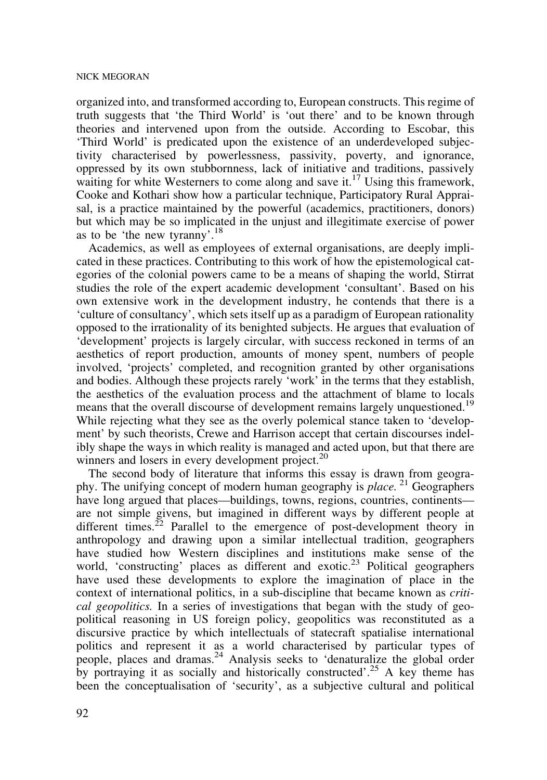organized into, and transformed according to, European constructs. This regime of truth suggests that 'the Third World' is 'out there' and to be known through theories and intervened upon from the outside. According to Escobar, this 'Third World' is predicated upon the existence of an underdeveloped subjectivity characterised by powerlessness, passivity, poverty, and ignorance, oppressed by its own stubbornness, lack of initiative and traditions, passively waiting for white Westerners to come along and save it.<sup>17</sup> Using this framework, Cooke and Kothari show how a particular technique, Participatory Rural Appraisal, is a practice maintained by the powerful (academics, practitioners, donors) but which may be so implicated in the unjust and illegitimate exercise of power as to be 'the new tyranny'.18

Academics, as well as employees of external organisations, are deeply implicated in these practices. Contributing to this work of how the epistemological categories of the colonial powers came to be a means of shaping the world, Stirrat studies the role of the expert academic development 'consultant'. Based on his own extensive work in the development industry, he contends that there is a 'culture of consultancy', which sets itself up as a paradigm of European rationality opposed to the irrationality of its benighted subjects. He argues that evaluation of 'development' projects is largely circular, with success reckoned in terms of an aesthetics of report production, amounts of money spent, numbers of people involved, 'projects' completed, and recognition granted by other organisations and bodies. Although these projects rarely 'work' in the terms that they establish, the aesthetics of the evaluation process and the attachment of blame to locals means that the overall discourse of development remains largely unquestioned.<sup>19</sup> While rejecting what they see as the overly polemical stance taken to 'development' by such theorists, Crewe and Harrison accept that certain discourses indelibly shape the ways in which reality is managed and acted upon, but that there are winners and losers in every development project.<sup>20</sup>

The second body of literature that informs this essay is drawn from geography. The unifying concept of modern human geography is *place*. <sup>21</sup> Geographers have long argued that places—buildings, towns, regions, countries, continents are not simple givens, but imagined in different ways by different people at different times.<sup>22</sup> Parallel to the emergence of post-development theory in anthropology and drawing upon a similar intellectual tradition, geographers have studied how Western disciplines and institutions make sense of the world, 'constructing' places as different and exotic.<sup>23</sup> Political geographers have used these developments to explore the imagination of place in the context of international politics, in a sub-discipline that became known as critical geopolitics. In a series of investigations that began with the study of geopolitical reasoning in US foreign policy, geopolitics was reconstituted as a discursive practice by which intellectuals of statecraft spatialise international politics and represent it as a world characterised by particular types of people, places and dramas.24 Analysis seeks to 'denaturalize the global order by portraying it as socially and historically constructed'.<sup>25</sup> A key theme has been the conceptualisation of 'security', as a subjective cultural and political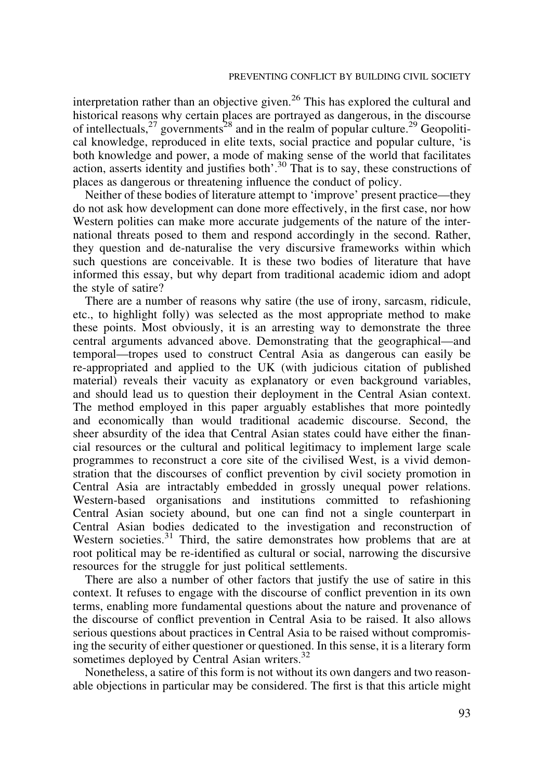interpretation rather than an objective given.<sup>26</sup> This has explored the cultural and historical reasons why certain places are portrayed as dangerous, in the discourse of intellectuals,  $27$  governments<sup>28</sup> and in the realm of popular culture.<sup>29</sup> Geopolitical knowledge, reproduced in elite texts, social practice and popular culture, 'is both knowledge and power, a mode of making sense of the world that facilitates action, asserts identity and justifies both'.<sup>30</sup> That is to say, these constructions of places as dangerous or threatening influence the conduct of policy.

Neither of these bodies of literature attempt to 'improve' present practice—they do not ask how development can done more effectively, in the first case, nor how Western polities can make more accurate judgements of the nature of the international threats posed to them and respond accordingly in the second. Rather, they question and de-naturalise the very discursive frameworks within which such questions are conceivable. It is these two bodies of literature that have informed this essay, but why depart from traditional academic idiom and adopt the style of satire?

There are a number of reasons why satire (the use of irony, sarcasm, ridicule, etc., to highlight folly) was selected as the most appropriate method to make these points. Most obviously, it is an arresting way to demonstrate the three central arguments advanced above. Demonstrating that the geographical—and temporal—tropes used to construct Central Asia as dangerous can easily be re-appropriated and applied to the UK (with judicious citation of published material) reveals their vacuity as explanatory or even background variables, and should lead us to question their deployment in the Central Asian context. The method employed in this paper arguably establishes that more pointedly and economically than would traditional academic discourse. Second, the sheer absurdity of the idea that Central Asian states could have either the financial resources or the cultural and political legitimacy to implement large scale programmes to reconstruct a core site of the civilised West, is a vivid demonstration that the discourses of conflict prevention by civil society promotion in Central Asia are intractably embedded in grossly unequal power relations. Western-based organisations and institutions committed to refashioning Central Asian society abound, but one can find not a single counterpart in Central Asian bodies dedicated to the investigation and reconstruction of Western societies.<sup>31</sup> Third, the satire demonstrates how problems that are at root political may be re-identified as cultural or social, narrowing the discursive resources for the struggle for just political settlements.

There are also a number of other factors that justify the use of satire in this context. It refuses to engage with the discourse of conflict prevention in its own terms, enabling more fundamental questions about the nature and provenance of the discourse of conflict prevention in Central Asia to be raised. It also allows serious questions about practices in Central Asia to be raised without compromising the security of either questioner or questioned. In this sense, it is a literary form sometimes deployed by Central Asian writers.<sup>32</sup>

Nonetheless, a satire of this form is not without its own dangers and two reasonable objections in particular may be considered. The first is that this article might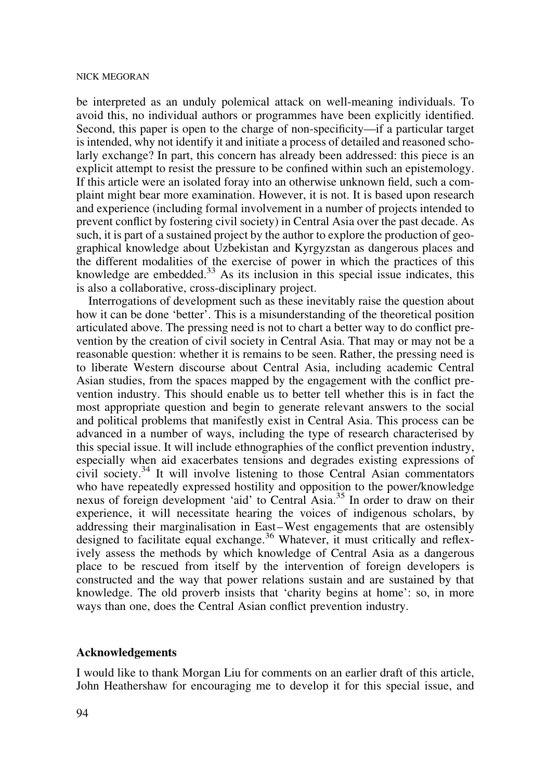be interpreted as an unduly polemical attack on well-meaning individuals. To avoid this, no individual authors or programmes have been explicitly identified. Second, this paper is open to the charge of non-specificity—if a particular target is intended, why not identify it and initiate a process of detailed and reasoned scholarly exchange? In part, this concern has already been addressed: this piece is an explicit attempt to resist the pressure to be confined within such an epistemology. If this article were an isolated foray into an otherwise unknown field, such a complaint might bear more examination. However, it is not. It is based upon research and experience (including formal involvement in a number of projects intended to prevent conflict by fostering civil society) in Central Asia over the past decade. As such, it is part of a sustained project by the author to explore the production of geographical knowledge about Uzbekistan and Kyrgyzstan as dangerous places and the different modalities of the exercise of power in which the practices of this knowledge are embedded.<sup>33</sup> As its inclusion in this special issue indicates, this is also a collaborative, cross-disciplinary project.

Interrogations of development such as these inevitably raise the question about how it can be done 'better'. This is a misunderstanding of the theoretical position articulated above. The pressing need is not to chart a better way to do conflict prevention by the creation of civil society in Central Asia. That may or may not be a reasonable question: whether it is remains to be seen. Rather, the pressing need is to liberate Western discourse about Central Asia, including academic Central Asian studies, from the spaces mapped by the engagement with the conflict prevention industry. This should enable us to better tell whether this is in fact the most appropriate question and begin to generate relevant answers to the social and political problems that manifestly exist in Central Asia. This process can be advanced in a number of ways, including the type of research characterised by this special issue. It will include ethnographies of the conflict prevention industry, especially when aid exacerbates tensions and degrades existing expressions of civil society.34 It will involve listening to those Central Asian commentators who have repeatedly expressed hostility and opposition to the power/knowledge nexus of foreign development 'aid' to Central Asia.<sup>35</sup> In order to draw on their experience, it will necessitate hearing the voices of indigenous scholars, by addressing their marginalisation in East–West engagements that are ostensibly designed to facilitate equal exchange.<sup>36</sup> Whatever, it must critically and reflexively assess the methods by which knowledge of Central Asia as a dangerous place to be rescued from itself by the intervention of foreign developers is constructed and the way that power relations sustain and are sustained by that knowledge. The old proverb insists that 'charity begins at home': so, in more ways than one, does the Central Asian conflict prevention industry.

#### Acknowledgements

I would like to thank Morgan Liu for comments on an earlier draft of this article, John Heathershaw for encouraging me to develop it for this special issue, and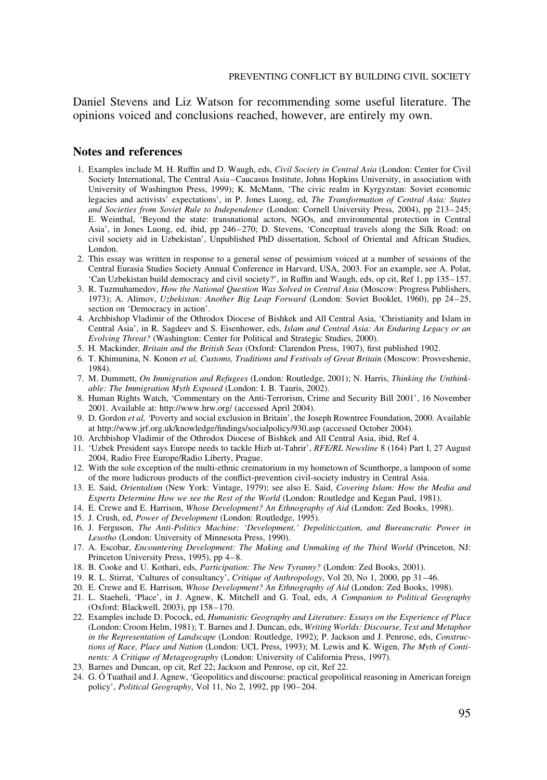Daniel Stevens and Liz Watson for recommending some useful literature. The opinions voiced and conclusions reached, however, are entirely my own.

## Notes and references

- 1. Examples include M. H. Ruffin and D. Waugh, eds, Civil Society in Central Asia (London: Center for Civil Society International, The Central Asia–Caucasus Institute, Johns Hopkins University, in association with University of Washington Press, 1999); K. McMann, 'The civic realm in Kyrgyzstan: Soviet economic legacies and activists' expectations', in P. Jones Luong, ed, The Transformation of Central Asia: States and Societies from Soviet Rule to Independence (London: Cornell University Press, 2004), pp 213–245; E. Weinthal, 'Beyond the state: transnational actors, NGOs, and environmental protection in Central Asia', in Jones Luong, ed, ibid, pp 246–270; D. Stevens, 'Conceptual travels along the Silk Road: on civil society aid in Uzbekistan', Unpublished PhD dissertation, School of Oriental and African Studies, London.
- 2. This essay was written in response to a general sense of pessimism voiced at a number of sessions of the Central Eurasia Studies Society Annual Conference in Harvard, USA, 2003. For an example, see A. Polat, 'Can Uzbekistan build democracy and civil society?', in Ruffin and Waugh, eds, op cit, Ref 1, pp 135–157.
- 3. R. Tuzmuhamedov, How the National Question Was Solved in Central Asia (Moscow: Progress Publishers, 1973); A. Alimov, Uzbekistan: Another Big Leap Forward (London: Soviet Booklet, 1960), pp 24–25, section on 'Democracy in action'.
- 4. Archbishop Vladimir of the Othrodox Diocese of Bishkek and All Central Asia, 'Christianity and Islam in Central Asia', in R. Sagdeev and S. Eisenhower, eds, Islam and Central Asia: An Enduring Legacy or an Evolving Threat? (Washington: Center for Political and Strategic Studies, 2000).
- 5. H. Mackinder, Britain and the British Seas (Oxford: Clarendon Press, 1907), first published 1902.
- 6. T. Khimunina, N. Konon et al, Customs, Traditions and Festivals of Great Britain (Moscow: Prosveshenie, 1984).
- 7. M. Dummett, On Immigration and Refugees (London: Routledge, 2001); N. Harris, Thinking the Unthinkable: The Immigration Myth Exposed (London: I. B. Tauris, 2002).
- 8. Human Rights Watch, 'Commentary on the Anti-Terrorism, Crime and Security Bill 2001', 16 November 2001. Available at: http://www.hrw.org/ (accessed April 2004).
- 9. D. Gordon et al, 'Poverty and social exclusion in Britain', the Joseph Rowntree Foundation, 2000. Available at http://www.jrf.org.uk/knowledge/findings/socialpolicy/930.asp (accessed October 2004).
- 10. Archbishop Vladimir of the Othrodox Diocese of Bishkek and All Central Asia, ibid, Ref 4.
- 11. 'Uzbek President says Europe needs to tackle Hizb ut-Tahrir', RFE/RL Newsline 8 (164) Part I, 27 August 2004, Radio Free Europe/Radio Liberty, Prague.
- 12. With the sole exception of the multi-ethnic crematorium in my hometown of Scunthorpe, a lampoon of some of the more ludicrous products of the conflict-prevention civil-society industry in Central Asia.
- 13. E. Said, Orientalism (New York: Vintage, 1979); see also E. Said, Covering Islam: How the Media and Experts Determine How we see the Rest of the World (London: Routledge and Kegan Paul, 1981).
- 14. E. Crewe and E. Harrison, Whose Development? An Ethnography of Aid (London: Zed Books, 1998).
- 15. J. Crush, ed, Power of Development (London: Routledge, 1995).
- 16. J. Ferguson, The Anti-Politics Machine: 'Development,' Depoliticization, and Bureaucratic Power in Lesotho (London: University of Minnesota Press, 1990).
- 17. A. Escobar, Encountering Development: The Making and Unmaking of the Third World (Princeton, NJ: Princeton University Press, 1995), pp 4–8.
- 18. B. Cooke and U. Kothari, eds, Participation: The New Tyranny? (London: Zed Books, 2001).
- 19. R. L. Stirrat, 'Cultures of consultancy', Critique of Anthropology, Vol 20, No 1, 2000, pp 31–46.
- 20. E. Crewe and E. Harrison, Whose Development? An Ethnography of Aid (London: Zed Books, 1998).
- 21. L. Staeheli, 'Place', in J. Agnew, K. Mitchell and G. Toal, eds, A Companion to Political Geography (Oxford: Blackwell, 2003), pp 158–170.
- 22. Examples include D. Pocock, ed, Humanistic Geography and Literature: Essays on the Experience of Place (London: Croom Helm, 1981); T. Barnes and J. Duncan, eds, Writing Worlds: Discourse, Text and Metaphor in the Representation of Landscape (London: Routledge, 1992); P. Jackson and J. Penrose, eds, Constructions of Race, Place and Nation (London: UCL Press, 1993); M. Lewis and K. Wigen, The Myth of Continents: A Critique of Metageography (London: University of California Press, 1997).
- 23. Barnes and Duncan, op cit, Ref 22; Jackson and Penrose, op cit, Ref 22.
- 24. G. O´ Tuathail and J. Agnew, 'Geopolitics and discourse: practical geopolitical reasoning in American foreign policy', Political Geography, Vol 11, No 2, 1992, pp 190–204.